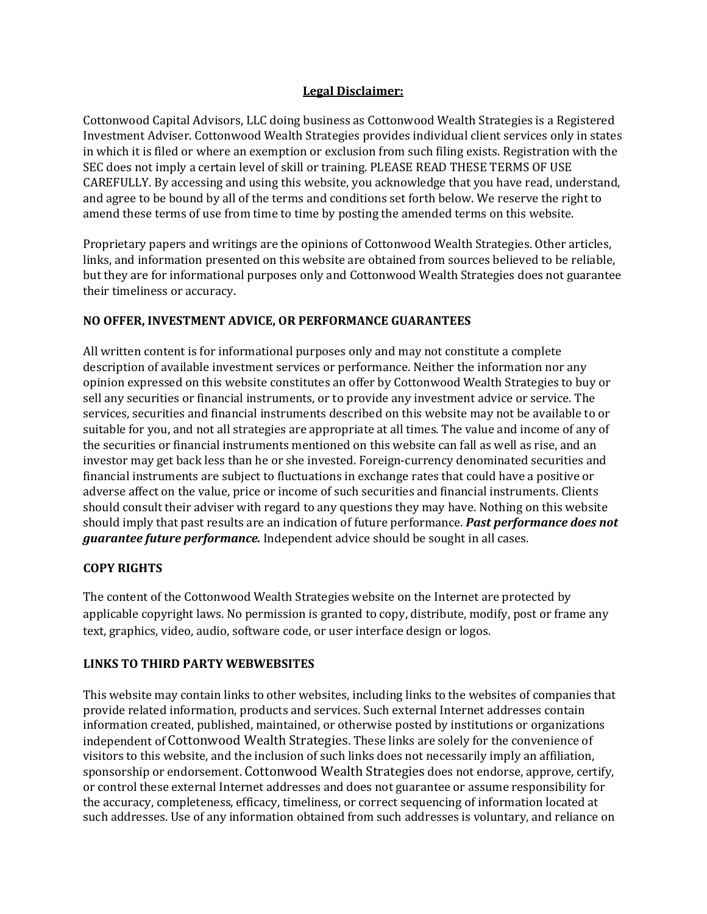#### **Legal Disclaimer:**

Cottonwood Capital Advisors, LLC doing business as Cottonwood Wealth Strategies is a Registered Investment Adviser. Cottonwood Wealth Strategies provides individual client services only in states in which it is filed or where an exemption or exclusion from such filing exists. Registration with the SEC does not imply a certain level of skill or training. PLEASE READ THESE TERMS OF USE CAREFULLY. By accessing and using this website, you acknowledge that you have read, understand, and agree to be bound by all of the terms and conditions set forth below. We reserve the right to amend these terms of use from time to time by posting the amended terms on this website.

Proprietary papers and writings are the opinions of Cottonwood Wealth Strategies. Other articles, links, and information presented on this website are obtained from sources believed to be reliable, but they are for informational purposes only and Cottonwood Wealth Strategies does not guarantee their timeliness or accuracy.

# **NO OFFER, INVESTMENT ADVICE, OR PERFORMANCE GUARANTEES**

All written content is for informational purposes only and may not constitute a complete description of available investment services or performance. Neither the information nor any opinion expressed on this website constitutes an offer by Cottonwood Wealth Strategies to buy or sell any securities or financial instruments, or to provide any investment advice or service. The services, securities and financial instruments described on this website may not be available to or suitable for you, and not all strategies are appropriate at all times. The value and income of any of the securities or financial instruments mentioned on this website can fall as well as rise, and an investor may get back less than he or she invested. Foreign-currency denominated securities and financial instruments are subject to fluctuations in exchange rates that could have a positive or adverse affect on the value, price or income of such securities and financial instruments. Clients should consult their adviser with regard to any questions they may have. Nothing on this website should imply that past results are an indication of future performance. *Past performance does not guarantee future performance.* Independent advice should be sought in all cases.

# **COPY RIGHTS**

The content of the Cottonwood Wealth Strategies website on the Internet are protected by applicable copyright laws. No permission is granted to copy, distribute, modify, post or frame any text, graphics, video, audio, software code, or user interface design or logos.

# **LINKS TO THIRD PARTY WEBWEBSITES**

This website may contain links to other websites, including links to the websites of companies that provide related information, products and services. Such external Internet addresses contain information created, published, maintained, or otherwise posted by institutions or organizations independent of Cottonwood Wealth Strategies. These links are solely for the convenience of visitors to this website, and the inclusion of such links does not necessarily imply an affiliation, sponsorship or endorsement. Cottonwood Wealth Strategies does not endorse, approve, certify, or control these external Internet addresses and does not guarantee or assume responsibility for the accuracy, completeness, efficacy, timeliness, or correct sequencing of information located at such addresses. Use of any information obtained from such addresses is voluntary, and reliance on